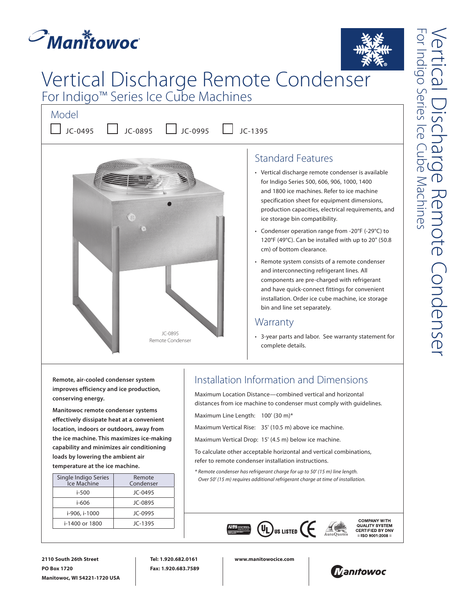

# Vertical Discharge Remote Condenser For Indigo™ Series Ice Cube Machines

Model







Standard Features

- Vertical discharge remote condenser is available for Indigo Series 500, 606, 906, 1000, 1400 and 1800 ice machines. Refer to ice machine specification sheet for equipment dimensions, production capacities, electrical requirements, and ice storage bin compatibility.
- Condenser operation range from -20°F (-29°C) to 120°F (49°C). Can be installed with up to 20" (50.8 cm) of bottom clearance.
- Remote system consists of a remote condenser and interconnecting refrigerant lines. All components are pre-charged with refrigerant and have quick-connect fittings for convenient installation. Order ice cube machine, ice storage bin and line set separately.

#### **Warranty**

• 3-year parts and labor. See warranty statement for complete details.

**Remote, air-cooled condenser system improves efficiency and ice production, conserving energy.**

**Manitowoc remote condenser systems effectively dissipate heat at a convenient location, indoors or outdoors, away from the ice machine. This maximizes ice-making capability and minimizes air conditioning loads by lowering the ambient air temperature at the ice machine.**

| Remote<br>Condenser |
|---------------------|
| $JC-0495$           |
| JC-0895             |
| JC-0995             |
| JC-1395             |
|                     |

### Installation Information and Dimensions

Maximum Location Distance—combined vertical and horizontal distances from ice machine to condenser must comply with guidelines.

Maximum Line Length: 100' (30 m)\*

Maximum Vertical Rise: 35' (10.5 m) above ice machine.

Maximum Vertical Drop: 15' (4.5 m) below ice machine.

To calculate other acceptable horizontal and vertical combinations, refer to remote condenser installation instructions.

*\* Remote condenser has refrigerant charge for up to 50' (15 m) line length. Over 50' (15 m) requires additional refrigerant charge at time of installation.* 



**COMPANY WITH** QUALITY SYSTEM<br>CERTIFIED BY DNV  $=$  ISO 9001:2008 =

**2110 South 26th Street PO Box 1720 Manitowoc, WI 54221-1720 USA** **Tel: 1.920.682.0161 Fax: 1.920.683.7589** **www.manitowocice.com**